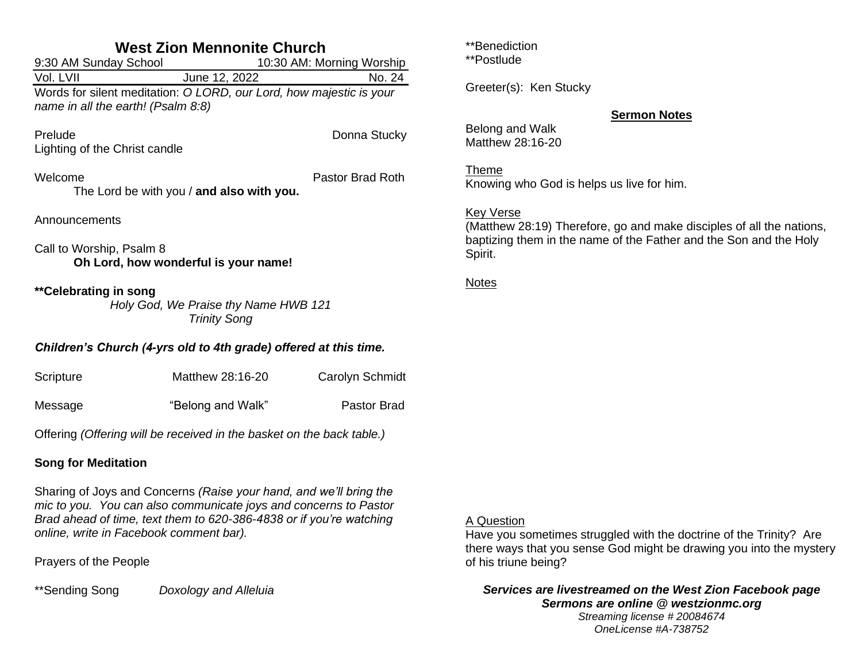| <b>West Zion Mennonite Church</b>                                                                                                                                                                                                                        |                                           |                           |  |  |
|----------------------------------------------------------------------------------------------------------------------------------------------------------------------------------------------------------------------------------------------------------|-------------------------------------------|---------------------------|--|--|
| 9:30 AM Sunday School                                                                                                                                                                                                                                    |                                           | 10:30 AM: Morning Worship |  |  |
| Vol. LVII                                                                                                                                                                                                                                                | June 12, 2022                             | No. 24                    |  |  |
| Words for silent meditation: O LORD, our Lord, how majestic is your<br>name in all the earth! (Psalm 8:8)                                                                                                                                                |                                           |                           |  |  |
| Prelude<br>Lighting of the Christ candle                                                                                                                                                                                                                 |                                           | Donna Stucky              |  |  |
| Welcome                                                                                                                                                                                                                                                  | The Lord be with you / and also with you. | Pastor Brad Roth          |  |  |
| Announcements                                                                                                                                                                                                                                            |                                           |                           |  |  |
| Call to Worship, Psalm 8<br>Oh Lord, how wonderful is your name!                                                                                                                                                                                         |                                           |                           |  |  |
| **Celebrating in song<br>Holy God, We Praise thy Name HWB 121<br><b>Trinity Song</b>                                                                                                                                                                     |                                           |                           |  |  |
| Children's Church (4-yrs old to 4th grade) offered at this time.                                                                                                                                                                                         |                                           |                           |  |  |
| Scripture                                                                                                                                                                                                                                                | Matthew 28:16-20                          | Carolyn Schmidt           |  |  |
| Message                                                                                                                                                                                                                                                  | "Belong and Walk"                         | <b>Pastor Brad</b>        |  |  |
| Offering (Offering will be received in the basket on the back table.)                                                                                                                                                                                    |                                           |                           |  |  |
| <b>Song for Meditation</b>                                                                                                                                                                                                                               |                                           |                           |  |  |
| Sharing of Joys and Concerns (Raise your hand, and we'll bring the<br>mic to you. You can also communicate joys and concerns to Pastor<br>Brad ahead of time, text them to 620-386-4838 or if you're watching<br>online, write in Facebook comment bar). |                                           |                           |  |  |
| Dravers of the Deaple                                                                                                                                                                                                                                    |                                           |                           |  |  |

Prayers of the People

\*\*Sending Song *Doxology and Alleluia*

\*\*Benediction

\*\*Postlude

Greeter(s): Ken Stucky

## **Sermon Notes**

Belong and Walk Matthew 28:16-20

Theme Knowing who God is helps us live for him.

## Key Verse

(Matthew 28:19) Therefore, go and make disciples of all the nations, baptizing them in the name of the Father and the Son and the Holy Spirit.

Notes

## A Question

Have you sometimes struggled with the doctrine of the Trinity? Are there ways that you sense God might be drawing you into the mystery of his triune being?

*Services are livestreamed on the West Zion Facebook page Sermons are online @ westzionmc.org Streaming license # 20084674 OneLicense #A-738752*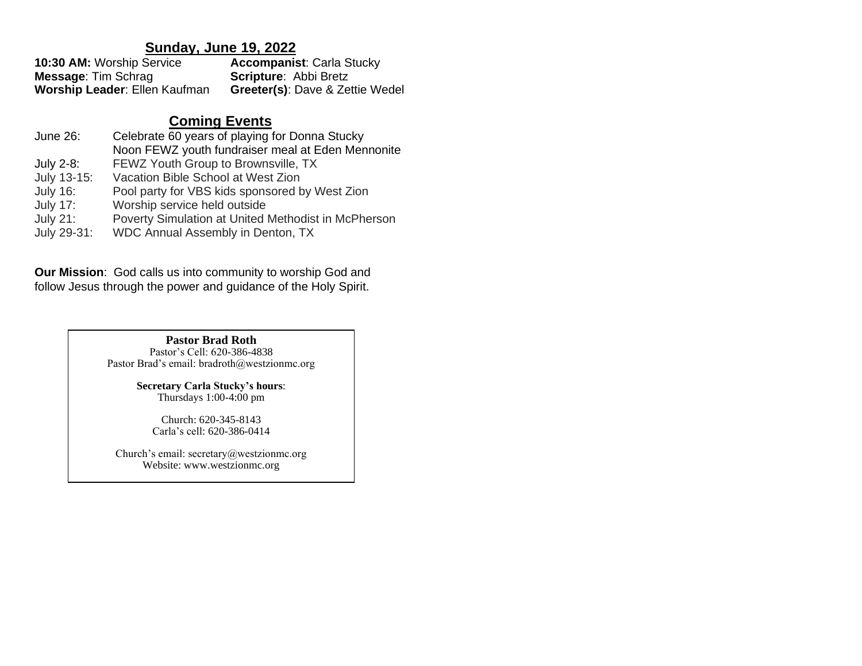# **Sunday, June 19, 2022**

| 10:30 AM: Worship Service            | <b>Accompanist: Carla Stucky</b>           |
|--------------------------------------|--------------------------------------------|
| <b>Message: Tim Schrag</b>           | <b>Scripture: Abbi Bretz</b>               |
| <b>Worship Leader: Ellen Kaufman</b> | <b>Greeter(s): Dave &amp; Zettie Wedel</b> |

# **Coming Events**

| June 26:        | Celebrate 60 years of playing for Donna Stucky      |
|-----------------|-----------------------------------------------------|
|                 | Noon FEWZ youth fundraiser meal at Eden Mennonite   |
| July 2-8:       | FEWZ Youth Group to Brownsville, TX                 |
| July 13-15:     | Vacation Bible School at West Zion                  |
| <b>July 16:</b> | Pool party for VBS kids sponsored by West Zion      |
| <b>July 17:</b> | Worship service held outside                        |
| <b>July 21:</b> | Poverty Simulation at United Methodist in McPherson |
| July 29-31:     | WDC Annual Assembly in Denton, TX                   |

**Our Mission**: God calls us into community to worship God and follow Jesus through the power and guidance of the Holy Spirit.

> **Pastor Brad Roth** Pastor's Cell: 620-386-4838 Pastor Brad's email: bradroth@westzionmc.org

> > **Secretary Carla Stucky's hours**: Thursdays 1:00-4:00 pm

Church: 620-345-8143 Carla's cell: 620-386-0414

Church's email: secretary@westzionmc.org Website: www.westzionmc.org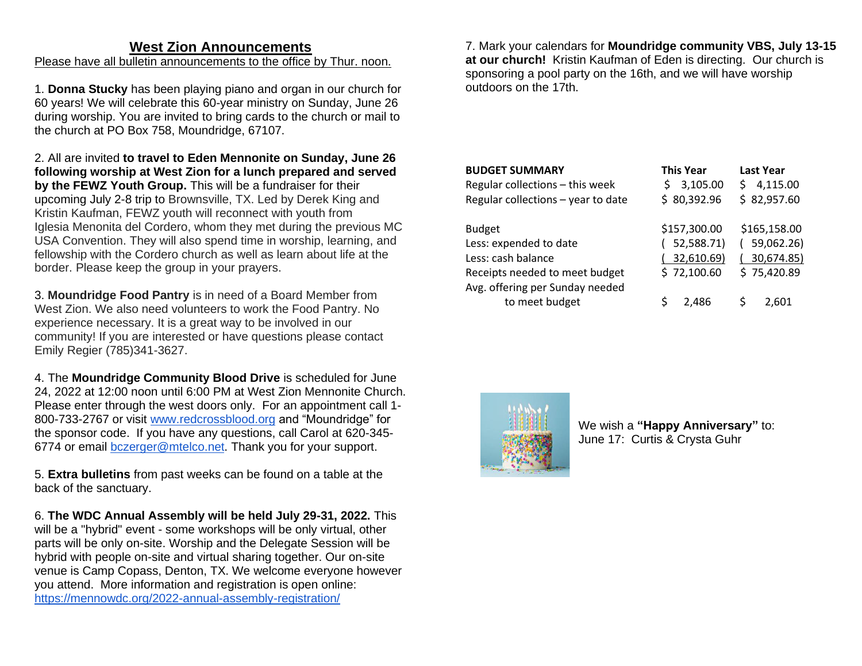## **West Zion Announcements**

Please have all bulletin announcements to the office by Thur. noon.

1. **Donna Stucky** has been playing piano and organ in our church for 60 years! We will celebrate this 60-year ministry on Sunday, June 26 during worship. You are invited to bring cards to the church or mail to the church at PO Box 758, Moundridge, 67107.

2. All are invited **to travel to Eden Mennonite on Sunday, June 26 following worship at West Zion for a lunch prepared and served by the FEWZ Youth Group.** This will be a fundraiser for their upcoming July 2-8 trip to Brownsville, TX. Led by Derek King and Kristin Kaufman, FEWZ youth will reconnect with youth from Iglesia Menonita del Cordero, whom they met during the previous MC USA Convention. They will also spend time in worship, learning, and fellowship with the Cordero church as well as learn about life at the border. Please keep the group in your prayers.

3. **Moundridge Food Pantry** is in need of a Board Member from West Zion. We also need volunteers to work the Food Pantry. No experience necessary. It is a great way to be involved in our community! If you are interested or have questions please contact Emily Regier (785)341-3627.

4. The **Moundridge Community Blood Drive** is scheduled for June 24, 2022 at 12:00 noon until 6:00 PM at West Zion Mennonite Church. Please enter through the west doors only. For an appointment call 1- 800-733-2767 or visit [www.redcrossblood.org](http://www.redcrossblood.org/) and "Moundridge" for the sponsor code. If you have any questions, call Carol at 620-345- 6774 or email [bczerger@mtelco.net.](mailto:bczerger@mtelco.net) Thank you for your support.

5. **Extra bulletins** from past weeks can be found on a table at the back of the sanctuary.

6. **The WDC Annual Assembly will be held July 29-31, 2022.** This will be a "hybrid" event - some workshops will be only virtual, other parts will be only on-site. Worship and the Delegate Session will be hybrid with people on-site and virtual sharing together. Our on-site venue is Camp Copass, Denton, TX. We welcome everyone however you attend. More information and registration is open online: <https://mennowdc.org/2022-annual-assembly-registration/>

7. Mark your calendars for **Moundridge community VBS, July 13-15 at our church!** Kristin Kaufman of Eden is directing. Our church is sponsoring a pool party on the 16th, and we will have worship outdoors on the 17th.

| <b>BUDGET SUMMARY</b><br>Regular collections - this week<br>Regular collections - year to date | <b>This Year</b><br>3,105.00<br>Ś<br>\$80,392.96 | <b>Last Year</b><br>4,115.00<br>S<br>\$82,957.60 |
|------------------------------------------------------------------------------------------------|--------------------------------------------------|--------------------------------------------------|
| <b>Budget</b>                                                                                  | \$157,300.00                                     | \$165,158.00                                     |
| Less: expended to date                                                                         | 52,588.71)                                       | 59,062.26)                                       |
| Less: cash balance                                                                             | 32,610.69)                                       | 30,674.85)                                       |
| Receipts needed to meet budget                                                                 | \$72,100.60                                      | \$75,420.89                                      |
| Avg. offering per Sunday needed                                                                |                                                  |                                                  |
| to meet budget                                                                                 | 2.486                                            | 2.601                                            |



We wish a **"Happy Anniversary"** to: June 17: Curtis & Crysta Guhr